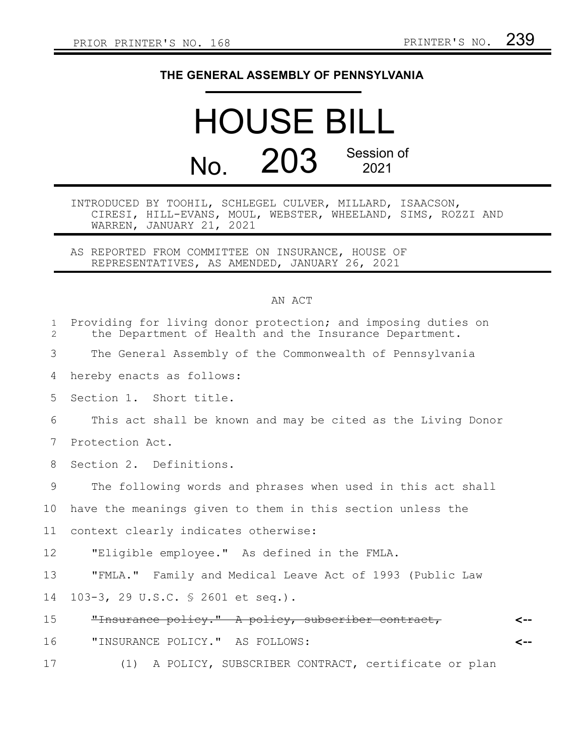## **THE GENERAL ASSEMBLY OF PENNSYLVANIA**

## HOUSE BILL No. 203 Session of 2021

## INTRODUCED BY TOOHIL, SCHLEGEL CULVER, MILLARD, ISAACSON, CIRESI, HILL-EVANS, MOUL, WEBSTER, WHEELAND, SIMS, ROZZI AND WARREN, JANUARY 21, 2021

AS REPORTED FROM COMMITTEE ON INSURANCE, HOUSE OF REPRESENTATIVES, AS AMENDED, JANUARY 26, 2021

## AN ACT

| $\mathbf{1}$<br>2 | Providing for living donor protection; and imposing duties on<br>the Department of Health and the Insurance Department. |
|-------------------|-------------------------------------------------------------------------------------------------------------------------|
| 3                 | The General Assembly of the Commonwealth of Pennsylvania                                                                |
| 4                 | hereby enacts as follows:                                                                                               |
| 5                 | Section 1. Short title.                                                                                                 |
| 6                 | This act shall be known and may be cited as the Living Donor                                                            |
| 7                 | Protection Act.                                                                                                         |
| 8                 | Section 2. Definitions.                                                                                                 |
| 9                 | The following words and phrases when used in this act shall                                                             |
| 10                | have the meanings given to them in this section unless the                                                              |
| 11                | context clearly indicates otherwise:                                                                                    |
| 12                | "Eligible employee." As defined in the FMLA.                                                                            |
| 13                | "FMLA." Family and Medical Leave Act of 1993 (Public Law                                                                |
| 14                | 103-3, 29 U.S.C. § 2601 et seq.).                                                                                       |
| 15                | "Insurance policy." A policy, subscriber contract,<br>⊂--                                                               |
| 16                | "INSURANCE POLICY." AS FOLLOWS:<br>$\leftarrow$                                                                         |
| 17                | (1) A POLICY, SUBSCRIBER CONTRACT, certificate or plan                                                                  |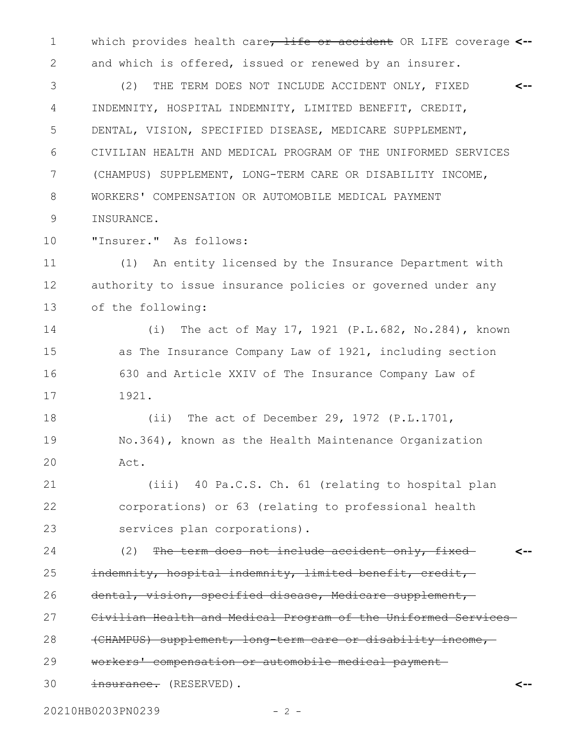which provides health care, life or accident OR LIFE coverage 1 **<-** and which is offered, issued or renewed by an insurer. 2

(2) THE TERM DOES NOT INCLUDE ACCIDENT ONLY, FIXED INDEMNITY, HOSPITAL INDEMNITY, LIMITED BENEFIT, CREDIT, DENTAL, VISION, SPECIFIED DISEASE, MEDICARE SUPPLEMENT, CIVILIAN HEALTH AND MEDICAL PROGRAM OF THE UNIFORMED SERVICES (CHAMPUS) SUPPLEMENT, LONG-TERM CARE OR DISABILITY INCOME, WORKERS' COMPENSATION OR AUTOMOBILE MEDICAL PAYMENT INSURANCE. **<--** 3 4 5 6 7 8 9

"Insurer." As follows: 10

(1) An entity licensed by the Insurance Department with authority to issue insurance policies or governed under any of the following: 11 12 13

(i) The act of May 17, 1921 (P.L.682, No.284), known as The Insurance Company Law of 1921, including section 630 and Article XXIV of The Insurance Company Law of 1921. 14 15 16 17

(ii) The act of December 29, 1972 (P.L.1701, No.364), known as the Health Maintenance Organization Act. 18 19 20

(iii) 40 Pa.C.S. Ch. 61 (relating to hospital plan corporations) or 63 (relating to professional health services plan corporations). 21 22 23

 $(2)$  The term does not include accident only, fixedindemnity, hospital indemnity, limited benefit, credit, dental, vision, specified disease, Medicare supplement, **<--** 24 25 26

Civilian Health and Medical Program of the Uniformed Services 27

(CHAMPUS) supplement, long-term care or disability income, 28

workers' compensation or automobile medical payment 29

insurance. (RESERVED). 30

20210HB0203PN0239 - 2 -

**<--**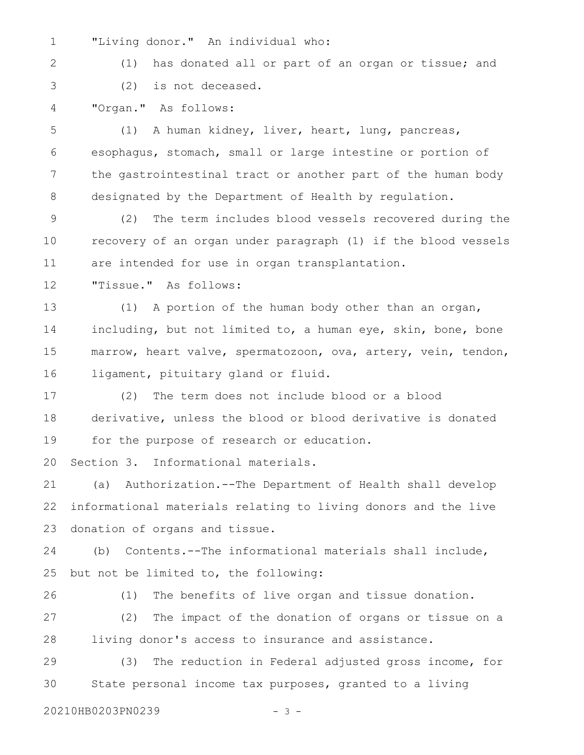- "Living donor." An individual who: 1
- 2

3

(1) has donated all or part of an organ or tissue; and

(2) is not deceased.

"Organ." As follows: 4

(1) A human kidney, liver, heart, lung, pancreas, esophagus, stomach, small or large intestine or portion of the gastrointestinal tract or another part of the human body designated by the Department of Health by regulation. 5 6 7 8

(2) The term includes blood vessels recovered during the recovery of an organ under paragraph (1) if the blood vessels are intended for use in organ transplantation. 9 10 11

"Tissue." As follows: 12

(1) A portion of the human body other than an organ, including, but not limited to, a human eye, skin, bone, bone marrow, heart valve, spermatozoon, ova, artery, vein, tendon, ligament, pituitary gland or fluid. 13 14 15 16

(2) The term does not include blood or a blood derivative, unless the blood or blood derivative is donated for the purpose of research or education. 17 18 19

Section 3. Informational materials. 20

(a) Authorization.--The Department of Health shall develop informational materials relating to living donors and the live donation of organs and tissue. 21 22 23

(b) Contents.--The informational materials shall include, but not be limited to, the following: 24 25

(1) The benefits of live organ and tissue donation. (2) The impact of the donation of organs or tissue on a living donor's access to insurance and assistance. 26 27 28

(3) The reduction in Federal adjusted gross income, for State personal income tax purposes, granted to a living 29 30

20210HB0203PN0239 - 3 -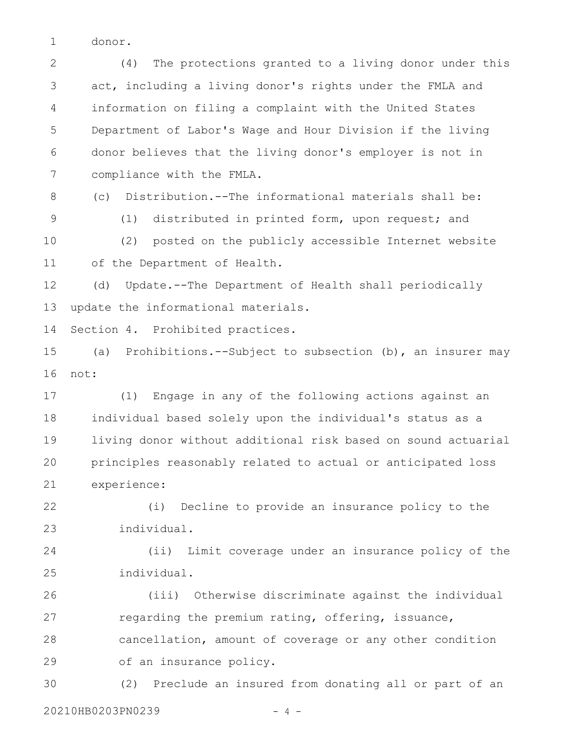donor. 1

(4) The protections granted to a living donor under this act, including a living donor's rights under the FMLA and information on filing a complaint with the United States Department of Labor's Wage and Hour Division if the living donor believes that the living donor's employer is not in compliance with the FMLA. 2 3 4 5 6 7

8 9 (c) Distribution.--The informational materials shall be: (1) distributed in printed form, upon request; and

(2) posted on the publicly accessible Internet website of the Department of Health. 10 11

(d) Update.--The Department of Health shall periodically update the informational materials. 12 13

Section 4. Prohibited practices. 14

(a) Prohibitions.--Subject to subsection (b), an insurer may not: 15 16

(1) Engage in any of the following actions against an individual based solely upon the individual's status as a living donor without additional risk based on sound actuarial principles reasonably related to actual or anticipated loss experience: 17 18 19 20 21

(i) Decline to provide an insurance policy to the individual. 22 23

(ii) Limit coverage under an insurance policy of the individual. 24 25

(iii) Otherwise discriminate against the individual regarding the premium rating, offering, issuance, cancellation, amount of coverage or any other condition of an insurance policy. 26 27 28 29

(2) Preclude an insured from donating all or part of an 30

20210HB0203PN0239 - 4 -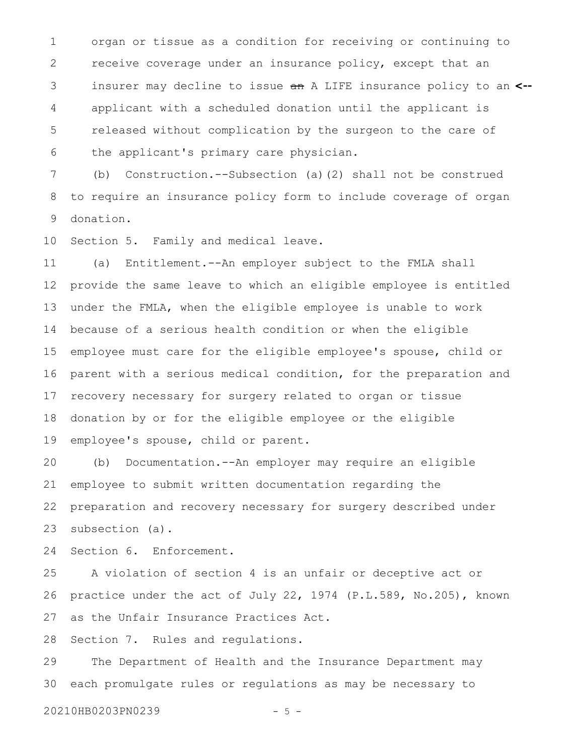organ or tissue as a condition for receiving or continuing to receive coverage under an insurance policy, except that an insurer may decline to issue an A LIFE insurance policy to an **<-** applicant with a scheduled donation until the applicant is released without complication by the surgeon to the care of the applicant's primary care physician. 1 2 3 4 5 6

(b) Construction.--Subsection (a)(2) shall not be construed to require an insurance policy form to include coverage of organ donation. 7 8 9

Section 5. Family and medical leave. 10

(a) Entitlement.--An employer subject to the FMLA shall provide the same leave to which an eligible employee is entitled under the FMLA, when the eligible employee is unable to work because of a serious health condition or when the eligible employee must care for the eligible employee's spouse, child or parent with a serious medical condition, for the preparation and recovery necessary for surgery related to organ or tissue donation by or for the eligible employee or the eligible employee's spouse, child or parent. 11 12 13 14 15 16 17 18 19

(b) Documentation.--An employer may require an eligible employee to submit written documentation regarding the preparation and recovery necessary for surgery described under subsection (a). 20 21 22 23

Section 6. Enforcement. 24

A violation of section 4 is an unfair or deceptive act or practice under the act of July 22, 1974 (P.L.589, No.205), known as the Unfair Insurance Practices Act. 25 26 27

Section 7. Rules and regulations. 28

The Department of Health and the Insurance Department may each promulgate rules or regulations as may be necessary to 29 30

20210HB0203PN0239 - 5 -